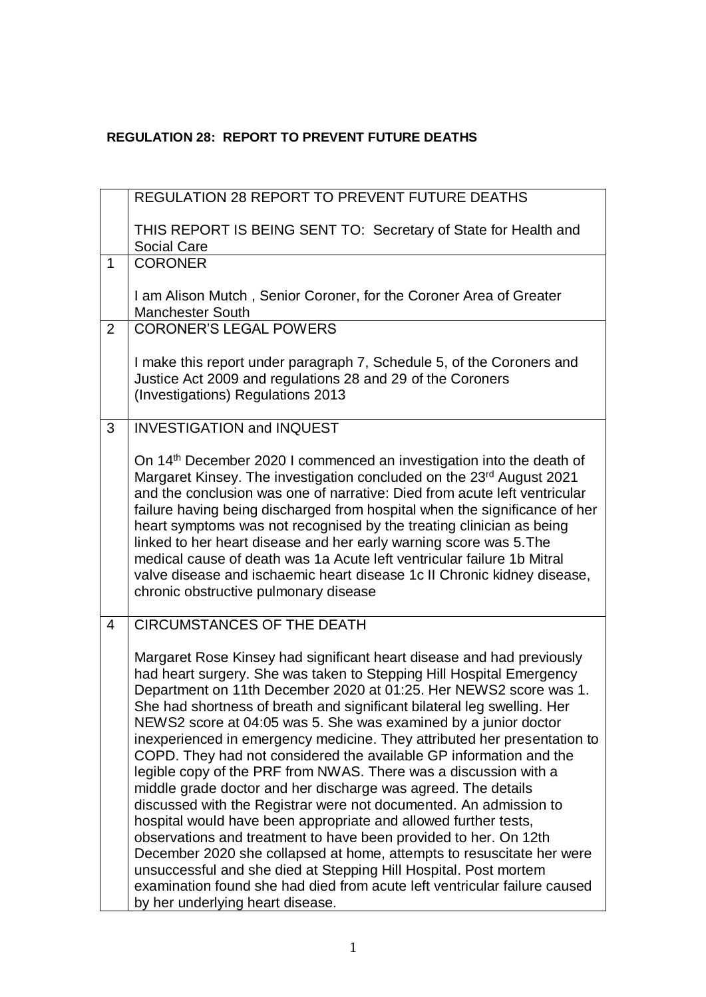## **REGULATION 28: REPORT TO PREVENT FUTURE DEATHS**

|                | <b>REGULATION 28 REPORT TO PREVENT FUTURE DEATHS</b>                                                                                                                                                                                                                                                                                                                                                                                                                                                                                                                                                                                                                                                                                                                                                                                                                                                                                                                                                                                                                                                                              |
|----------------|-----------------------------------------------------------------------------------------------------------------------------------------------------------------------------------------------------------------------------------------------------------------------------------------------------------------------------------------------------------------------------------------------------------------------------------------------------------------------------------------------------------------------------------------------------------------------------------------------------------------------------------------------------------------------------------------------------------------------------------------------------------------------------------------------------------------------------------------------------------------------------------------------------------------------------------------------------------------------------------------------------------------------------------------------------------------------------------------------------------------------------------|
|                | THIS REPORT IS BEING SENT TO: Secretary of State for Health and<br><b>Social Care</b>                                                                                                                                                                                                                                                                                                                                                                                                                                                                                                                                                                                                                                                                                                                                                                                                                                                                                                                                                                                                                                             |
| $\mathbf{1}$   | <b>CORONER</b>                                                                                                                                                                                                                                                                                                                                                                                                                                                                                                                                                                                                                                                                                                                                                                                                                                                                                                                                                                                                                                                                                                                    |
|                | I am Alison Mutch, Senior Coroner, for the Coroner Area of Greater<br><b>Manchester South</b>                                                                                                                                                                                                                                                                                                                                                                                                                                                                                                                                                                                                                                                                                                                                                                                                                                                                                                                                                                                                                                     |
| $\overline{2}$ | <b>CORONER'S LEGAL POWERS</b>                                                                                                                                                                                                                                                                                                                                                                                                                                                                                                                                                                                                                                                                                                                                                                                                                                                                                                                                                                                                                                                                                                     |
|                | I make this report under paragraph 7, Schedule 5, of the Coroners and<br>Justice Act 2009 and regulations 28 and 29 of the Coroners<br>(Investigations) Regulations 2013                                                                                                                                                                                                                                                                                                                                                                                                                                                                                                                                                                                                                                                                                                                                                                                                                                                                                                                                                          |
| 3              | <b>INVESTIGATION and INQUEST</b>                                                                                                                                                                                                                                                                                                                                                                                                                                                                                                                                                                                                                                                                                                                                                                                                                                                                                                                                                                                                                                                                                                  |
|                | On 14 <sup>th</sup> December 2020 I commenced an investigation into the death of<br>Margaret Kinsey. The investigation concluded on the 23 <sup>rd</sup> August 2021<br>and the conclusion was one of narrative: Died from acute left ventricular<br>failure having being discharged from hospital when the significance of her<br>heart symptoms was not recognised by the treating clinician as being<br>linked to her heart disease and her early warning score was 5. The<br>medical cause of death was 1a Acute left ventricular failure 1b Mitral<br>valve disease and ischaemic heart disease 1c II Chronic kidney disease,<br>chronic obstructive pulmonary disease                                                                                                                                                                                                                                                                                                                                                                                                                                                       |
| 4              | <b>CIRCUMSTANCES OF THE DEATH</b>                                                                                                                                                                                                                                                                                                                                                                                                                                                                                                                                                                                                                                                                                                                                                                                                                                                                                                                                                                                                                                                                                                 |
|                | Margaret Rose Kinsey had significant heart disease and had previously<br>had heart surgery. She was taken to Stepping Hill Hospital Emergency<br>Department on 11th December 2020 at 01:25. Her NEWS2 score was 1.<br>She had shortness of breath and significant bilateral leg swelling. Her<br>NEWS2 score at 04:05 was 5. She was examined by a junior doctor<br>inexperienced in emergency medicine. They attributed her presentation to<br>COPD. They had not considered the available GP information and the<br>legible copy of the PRF from NWAS. There was a discussion with a<br>middle grade doctor and her discharge was agreed. The details<br>discussed with the Registrar were not documented. An admission to<br>hospital would have been appropriate and allowed further tests,<br>observations and treatment to have been provided to her. On 12th<br>December 2020 she collapsed at home, attempts to resuscitate her were<br>unsuccessful and she died at Stepping Hill Hospital. Post mortem<br>examination found she had died from acute left ventricular failure caused<br>by her underlying heart disease. |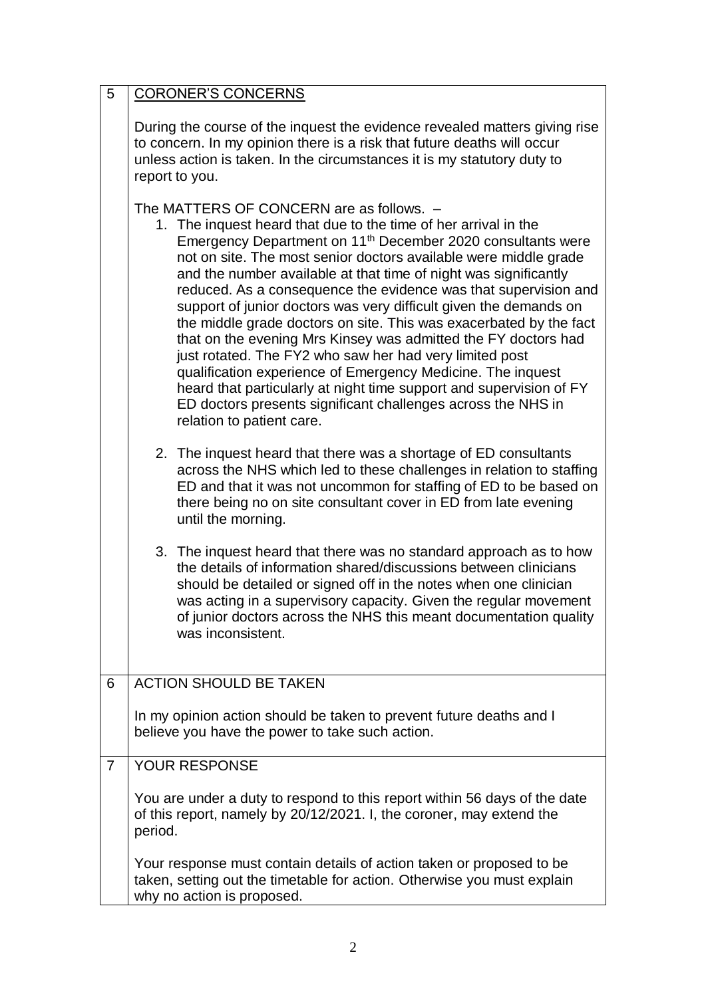| 5              | <b>CORONER'S CONCERNS</b>                                                                                                                                                                                                                                                                                                                                                                                                                                                                                                                                                                                                                                                                                                                                                                                                                                                                                    |
|----------------|--------------------------------------------------------------------------------------------------------------------------------------------------------------------------------------------------------------------------------------------------------------------------------------------------------------------------------------------------------------------------------------------------------------------------------------------------------------------------------------------------------------------------------------------------------------------------------------------------------------------------------------------------------------------------------------------------------------------------------------------------------------------------------------------------------------------------------------------------------------------------------------------------------------|
|                | During the course of the inquest the evidence revealed matters giving rise<br>to concern. In my opinion there is a risk that future deaths will occur<br>unless action is taken. In the circumstances it is my statutory duty to<br>report to you.                                                                                                                                                                                                                                                                                                                                                                                                                                                                                                                                                                                                                                                           |
|                | The MATTERS OF CONCERN are as follows. -<br>1. The inquest heard that due to the time of her arrival in the<br>Emergency Department on 11 <sup>th</sup> December 2020 consultants were<br>not on site. The most senior doctors available were middle grade<br>and the number available at that time of night was significantly<br>reduced. As a consequence the evidence was that supervision and<br>support of junior doctors was very difficult given the demands on<br>the middle grade doctors on site. This was exacerbated by the fact<br>that on the evening Mrs Kinsey was admitted the FY doctors had<br>just rotated. The FY2 who saw her had very limited post<br>qualification experience of Emergency Medicine. The inquest<br>heard that particularly at night time support and supervision of FY<br>ED doctors presents significant challenges across the NHS in<br>relation to patient care. |
|                | 2. The inquest heard that there was a shortage of ED consultants<br>across the NHS which led to these challenges in relation to staffing<br>ED and that it was not uncommon for staffing of ED to be based on<br>there being no on site consultant cover in ED from late evening<br>until the morning.                                                                                                                                                                                                                                                                                                                                                                                                                                                                                                                                                                                                       |
|                | 3. The inquest heard that there was no standard approach as to how<br>the details of information shared/discussions between clinicians<br>should be detailed or signed off in the notes when one clinician<br>was acting in a supervisory capacity. Given the regular movement<br>of junior doctors across the NHS this meant documentation quality<br>was inconsistent.                                                                                                                                                                                                                                                                                                                                                                                                                                                                                                                                     |
| 6              | <b>ACTION SHOULD BE TAKEN</b>                                                                                                                                                                                                                                                                                                                                                                                                                                                                                                                                                                                                                                                                                                                                                                                                                                                                                |
|                | In my opinion action should be taken to prevent future deaths and I<br>believe you have the power to take such action.                                                                                                                                                                                                                                                                                                                                                                                                                                                                                                                                                                                                                                                                                                                                                                                       |
| $\overline{7}$ | YOUR RESPONSE                                                                                                                                                                                                                                                                                                                                                                                                                                                                                                                                                                                                                                                                                                                                                                                                                                                                                                |
|                | You are under a duty to respond to this report within 56 days of the date<br>of this report, namely by 20/12/2021. I, the coroner, may extend the<br>period.                                                                                                                                                                                                                                                                                                                                                                                                                                                                                                                                                                                                                                                                                                                                                 |
|                | Your response must contain details of action taken or proposed to be<br>taken, setting out the timetable for action. Otherwise you must explain<br>why no action is proposed.                                                                                                                                                                                                                                                                                                                                                                                                                                                                                                                                                                                                                                                                                                                                |